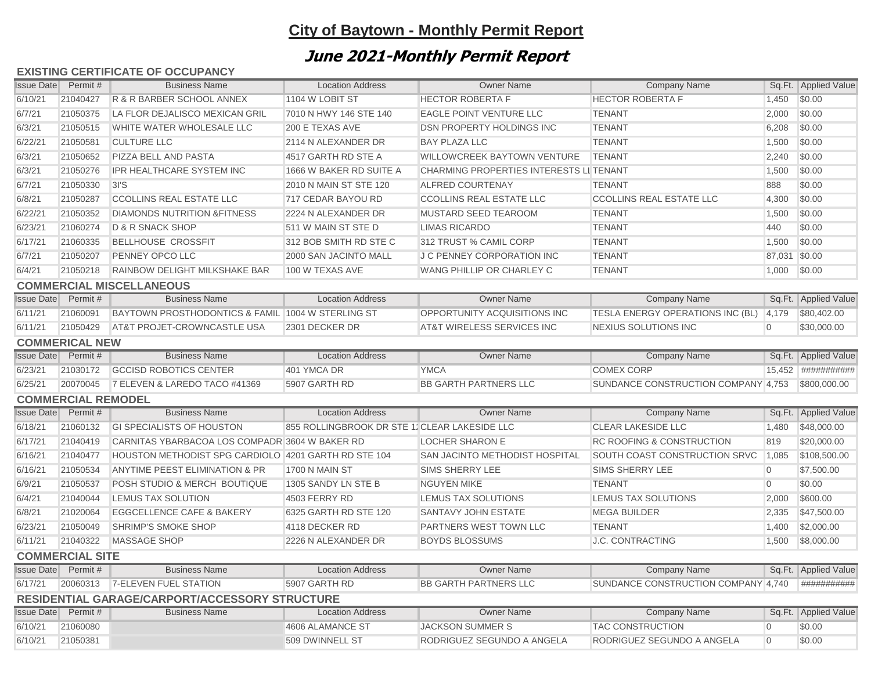# **City of Baytown - Monthly Permit Report**

# **June 2021-Monthly Permit Report**

### **EXISTING CERTIFICATE OF OCCUPANCY**

| <b>Issue Date</b>      | Permit #                   | <b>Business Name</b>                                 | <b>Location Address</b>                       | <b>Owner Name</b>                       | <b>Company Name</b>                    |                | Sq.Ft. Applied Value |  |  |
|------------------------|----------------------------|------------------------------------------------------|-----------------------------------------------|-----------------------------------------|----------------------------------------|----------------|----------------------|--|--|
| 6/10/21                | 21040427                   | R & R BARBER SCHOOL ANNEX                            | 1104 W LOBIT ST                               | <b>HECTOR ROBERTA F</b>                 | <b>HECTOR ROBERTA F</b>                | 1,450          | \$0.00               |  |  |
| 6/7/21                 | 21050375                   | LA FLOR DEJALISCO MEXICAN GRIL                       | 7010 N HWY 146 STE 140                        | <b>EAGLE POINT VENTURE LLC</b>          | <b>TENANT</b>                          | 2,000          | \$0.00               |  |  |
| 6/3/21                 | 21050515                   | WHITE WATER WHOLESALE LLC                            | 200 E TEXAS AVE                               | <b>DSN PROPERTY HOLDINGS INC</b>        | <b>TENANT</b>                          | 6,208          | \$0.00               |  |  |
| 6/22/21                | 21050581                   | <b>CULTURE LLC</b>                                   | 2114 N ALEXANDER DR                           | <b>BAY PLAZA LLC</b>                    | <b>TENANT</b>                          | 1,500          | \$0.00               |  |  |
| 6/3/21                 | 21050652                   | PIZZA BELL AND PASTA                                 | 4517 GARTH RD STE A                           | <b>WILLOWCREEK BAYTOWN VENTURE</b>      | <b>TENANT</b>                          | 2,240          | \$0.00               |  |  |
| 6/3/21                 | 21050276                   | <b>IPR HEALTHCARE SYSTEM INC</b>                     | 1666 W BAKER RD SUITE A                       | CHARMING PROPERTIES INTERESTS LI TENANT |                                        | 1,500          | \$0.00               |  |  |
| 6/7/21                 | 21050330                   | 3I'S                                                 | 2010 N MAIN ST STE 120                        | <b>ALFRED COURTENAY</b>                 | <b>TENANT</b>                          | 888            | \$0.00               |  |  |
| 6/8/21                 | 21050287                   | <b>CCOLLINS REAL ESTATE LLC</b>                      | 717 CEDAR BAYOU RD                            | <b>CCOLLINS REAL ESTATE LLC</b>         | <b>CCOLLINS REAL ESTATE LLC</b>        | 4,300          | \$0.00               |  |  |
| 6/22/21                | 21050352                   | <b>DIAMONDS NUTRITION &amp;FITNESS</b>               | 2224 N ALEXANDER DR                           | MUSTARD SEED TEAROOM                    | <b>TENANT</b>                          | 1,500          | \$0.00               |  |  |
| 6/23/21                | 21060274                   | <b>D &amp; R SNACK SHOP</b>                          | 511 W MAIN ST STE D                           | <b>LIMAS RICARDO</b>                    | <b>TENANT</b>                          | 440            | \$0.00               |  |  |
| 6/17/21                | 21060335                   | <b>BELLHOUSE CROSSFIT</b>                            | 312 BOB SMITH RD STE C                        | 312 TRUST % CAMIL CORP                  | <b>TENANT</b>                          | 1,500          | \$0.00               |  |  |
| 6/7/21                 | 21050207                   | PENNEY OPCO LLC                                      | 2000 SAN JACINTO MALL                         | J C PENNEY CORPORATION INC              | <b>TENANT</b>                          | 87,031         | \$0.00               |  |  |
| 6/4/21                 | 21050218                   | RAINBOW DELIGHT MILKSHAKE BAR                        | 100 W TEXAS AVE                               | WANG PHILLIP OR CHARLEY C               | <b>TENANT</b>                          | 1,000          | \$0.00               |  |  |
|                        |                            | <b>COMMERCIAL MISCELLANEOUS</b>                      |                                               |                                         |                                        |                |                      |  |  |
|                        | <b>Issue Date</b> Permit # | <b>Business Name</b>                                 | <b>Location Address</b>                       | <b>Owner Name</b>                       | <b>Company Name</b>                    |                | Sq.Ft. Applied Value |  |  |
| 6/11/21                | 21060091                   | BAYTOWN PROSTHODONTICS & FAMIL 1004 W STERLING ST    |                                               | OPPORTUNITY ACQUISITIONS INC            | TESLA ENERGY OPERATIONS INC (BL) 4,179 |                | \$80,402.00          |  |  |
| 6/11/21                | 21050429                   | <b>AT&amp;T PROJET-CROWNCASTLE USA</b>               | 2301 DECKER DR                                | AT&T WIRELESS SERVICES INC              | <b>NEXIUS SOLUTIONS INC</b>            | $\Omega$       | \$30,000.00          |  |  |
|                        | <b>COMMERICAL NEW</b>      |                                                      |                                               |                                         |                                        |                |                      |  |  |
|                        | <b>Issue Date</b> Permit # | <b>Business Name</b>                                 | <b>Location Address</b>                       | <b>Owner Name</b>                       | <b>Company Name</b>                    |                | Sq.Ft. Applied Value |  |  |
| 6/23/21                | 21030172                   | <b>GCCISD ROBOTICS CENTER</b>                        | 401 YMCA DR                                   | <b>YMCA</b>                             | <b>COMEX CORP</b>                      |                | 15,452 ############  |  |  |
| 6/25/21                | 20070045                   | 7 ELEVEN & LAREDO TACO #41369                        | 5907 GARTH RD                                 | <b>BB GARTH PARTNERS LLC</b>            | SUNDANCE CONSTRUCTION COMPANY 4,753    |                | \$800,000.00         |  |  |
|                        | <b>COMMERCIAL REMODEL</b>  |                                                      |                                               |                                         |                                        |                |                      |  |  |
|                        | <b>Issue Date</b> Permit # | <b>Business Name</b>                                 | <b>Location Address</b>                       | <b>Owner Name</b>                       | <b>Company Name</b>                    |                | Sq.Ft. Applied Value |  |  |
| 6/18/21                | 21060132                   | <b>GI SPECIALISTS OF HOUSTON</b>                     | 855 ROLLINGBROOK DR STE 1. CLEAR LAKESIDE LLC |                                         | <b>CLEAR LAKESIDE LLC</b>              | 1,480          | \$48,000.00          |  |  |
| 6/17/21                | 21040419                   | CARNITAS YBARBACOA LOS COMPADR 3604 W BAKER RD       |                                               | <b>LOCHER SHARON E</b>                  | <b>RC ROOFING &amp; CONSTRUCTION</b>   | 819            | \$20,000.00          |  |  |
| 6/16/21                | 21040477                   | HOUSTON METHODIST SPG CARDIOLO 4201 GARTH RD STE 104 |                                               | SAN JACINTO METHODIST HOSPITAL          | SOUTH COAST CONSTRUCTION SRVC          | 1,085          | \$108,500.00         |  |  |
| 6/16/21                | 21050534                   | ANYTIME PEEST ELIMINATION & PR                       | 1700 N MAIN ST                                | <b>SIMS SHERRY LEE</b>                  | <b>SIMS SHERRY LEE</b>                 | $\overline{0}$ | \$7,500.00           |  |  |
| 6/9/21                 | 21050537                   | POSH STUDIO & MERCH BOUTIQUE                         | 1305 SANDY LN STE B                           | <b>NGUYEN MIKE</b>                      | <b>TENANT</b>                          | $\overline{0}$ | \$0.00               |  |  |
| 6/4/21                 | 21040044                   | <b>LEMUS TAX SOLUTION</b>                            | 4503 FERRY RD                                 | LEMUS TAX SOLUTIONS                     | <b>LEMUS TAX SOLUTIONS</b>             | 2,000          | \$600.00             |  |  |
| 6/8/21                 | 21020064                   | <b>EGGCELLENCE CAFE &amp; BAKERY</b>                 | 6325 GARTH RD STE 120                         | SANTAVY JOHN ESTATE                     | <b>MEGA BUILDER</b>                    | 2,335          | \$47,500.00          |  |  |
| 6/23/21                | 21050049                   | <b>SHRIMP'S SMOKE SHOP</b>                           | 4118 DECKER RD                                | <b>PARTNERS WEST TOWN LLC</b>           | <b>TENANT</b>                          | 1,400          | \$2,000.00           |  |  |
| 6/11/21                | 21040322                   | <b>MASSAGE SHOP</b>                                  | 2226 N ALEXANDER DR                           | <b>BOYDS BLOSSUMS</b>                   | <b>J.C. CONTRACTING</b>                | 1,500          | \$8,000.00           |  |  |
| <b>COMMERCIAL SITE</b> |                            |                                                      |                                               |                                         |                                        |                |                      |  |  |
|                        | <b>Issue Date</b> Permit # | <b>Business Name</b>                                 | <b>Location Address</b>                       | <b>Owner Name</b>                       | <b>Company Name</b>                    |                | Sq.Ft. Applied Value |  |  |
| 6/17/21                | 20060313                   | 7-ELEVEN FUEL STATION                                | 5907 GARTH RD                                 | <b>BB GARTH PARTNERS LLC</b>            | SUNDANCE CONSTRUCTION COMPANY 4,740    |                | ############         |  |  |
|                        |                            | RESIDENTIAL GARAGE/CARPORT/ACCESSORY STRUCTURE       |                                               |                                         |                                        |                |                      |  |  |
|                        | <b>Issue Date</b> Permit # | <b>Business Name</b>                                 | <b>Location Address</b>                       | <b>Owner Name</b>                       | <b>Company Name</b>                    |                | Sq.Ft. Applied Value |  |  |
| 6/10/21                | 21060080                   |                                                      | 4606 ALAMANCE ST                              | <b>JACKSON SUMMER S</b>                 | <b>TAC CONSTRUCTION</b>                | $\overline{0}$ | \$0.00               |  |  |
| 6/10/21                | 21050381                   |                                                      | 509 DWINNELL ST                               | RODRIGUEZ SEGUNDO A ANGELA              | RODRIGUEZ SEGUNDO A ANGELA             | $\overline{0}$ | \$0.00               |  |  |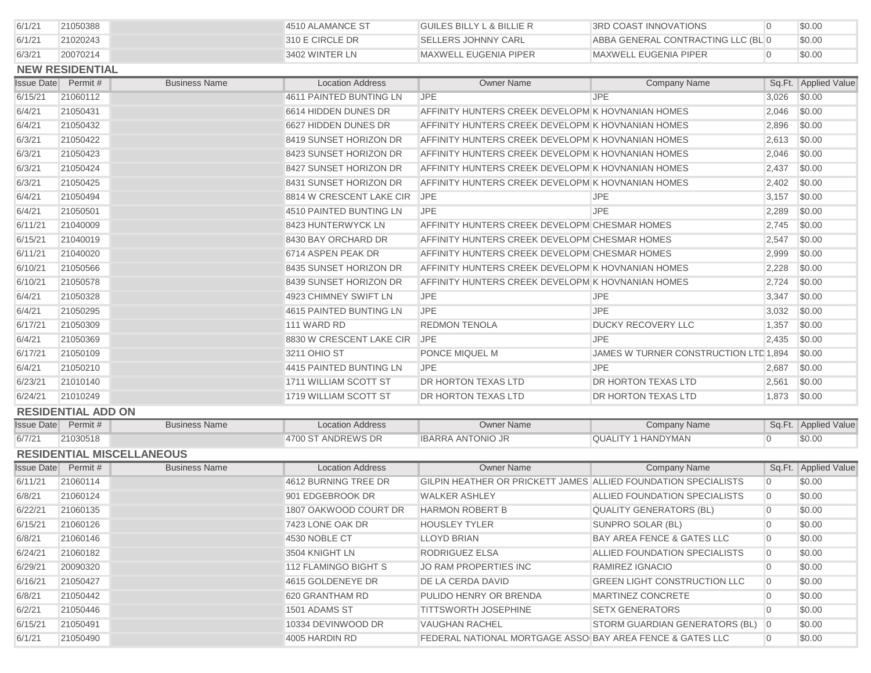| 6/1/21            | 21050388                   |                                  | 4510 ALAMANCE ST         | <b>GUILES BILLY L &amp; BILLIE R</b>                           | <b>3RD COAST INNOVATIONS</b>          | $\overline{0}$ | \$0.00               |
|-------------------|----------------------------|----------------------------------|--------------------------|----------------------------------------------------------------|---------------------------------------|----------------|----------------------|
| 6/1/21            | 21020243                   |                                  | 310 E CIRCLE DR          | <b>SELLERS JOHNNY CARL</b>                                     | ABBA GENERAL CONTRACTING LLC (BL 0    |                | \$0.00               |
| 6/3/21            | 20070214                   |                                  | 3402 WINTER LN           | <b>MAXWELL EUGENIA PIPER</b>                                   | <b>MAXWELL EUGENIA PIPER</b>          | $\overline{0}$ | \$0.00               |
|                   | <b>NEW RESIDENTIAL</b>     |                                  |                          |                                                                |                                       |                |                      |
| <b>Issue Date</b> | Permit #                   | <b>Business Name</b>             | <b>Location Address</b>  | <b>Owner Name</b>                                              | <b>Company Name</b>                   |                | Sq.Ft. Applied Value |
| 6/15/21           | 21060112                   |                                  | 4611 PAINTED BUNTING LN  | <b>JPE</b>                                                     | <b>JPE</b>                            | 3,026          | \$0.00               |
| 6/4/21            | 21050431                   |                                  | 6614 HIDDEN DUNES DR     | AFFINITY HUNTERS CREEK DEVELOPM K HOVNANIAN HOMES              |                                       | 2,046          | \$0.00               |
| 6/4/21            | 21050432                   |                                  | 6627 HIDDEN DUNES DR     | AFFINITY HUNTERS CREEK DEVELOPM K HOVNANIAN HOMES              |                                       | 2,896          | \$0.00               |
| 6/3/21            | 21050422                   |                                  | 8419 SUNSET HORIZON DR   | AFFINITY HUNTERS CREEK DEVELOPM K HOVNANIAN HOMES              |                                       | 2,613          | \$0.00               |
| 6/3/21            | 21050423                   |                                  | 8423 SUNSET HORIZON DR   | AFFINITY HUNTERS CREEK DEVELOPM K HOVNANIAN HOMES              |                                       | 2,046          | \$0.00               |
| 6/3/21            | 21050424                   |                                  | 8427 SUNSET HORIZON DR   | AFFINITY HUNTERS CREEK DEVELOPM K HOVNANIAN HOMES              |                                       | 2,437          | \$0.00               |
| 6/3/21            | 21050425                   |                                  | 8431 SUNSET HORIZON DR   | AFFINITY HUNTERS CREEK DEVELOPM K HOVNANIAN HOMES              |                                       | 2,402          | \$0.00               |
| 6/4/21            | 21050494                   |                                  | 8814 W CRESCENT LAKE CIR | <b>JPE</b>                                                     | <b>JPE</b>                            | 3,157          | \$0.00               |
| 6/4/21            | 21050501                   |                                  | 4510 PAINTED BUNTING LN  | <b>JPE</b>                                                     | <b>JPE</b>                            | 2,289          | \$0.00               |
| 6/11/21           | 21040009                   |                                  | 8423 HUNTERWYCK LN       | AFFINITY HUNTERS CREEK DEVELOPM CHESMAR HOMES                  |                                       | 2,745          | \$0.00               |
| 6/15/21           | 21040019                   |                                  | 8430 BAY ORCHARD DR      | AFFINITY HUNTERS CREEK DEVELOPM CHESMAR HOMES                  |                                       | 2,547          | \$0.00               |
| 6/11/21           | 21040020                   |                                  | 6714 ASPEN PEAK DR       | AFFINITY HUNTERS CREEK DEVELOPM CHESMAR HOMES                  |                                       | 2,999          | \$0.00               |
| 6/10/21           | 21050566                   |                                  | 8435 SUNSET HORIZON DR   | AFFINITY HUNTERS CREEK DEVELOPM K HOVNANIAN HOMES              |                                       | 2,228          | \$0.00               |
| 6/10/21           | 21050578                   |                                  | 8439 SUNSET HORIZON DR   | AFFINITY HUNTERS CREEK DEVELOPM K HOVNANIAN HOMES              |                                       | 2,724          | \$0.00               |
| 6/4/21            | 21050328                   |                                  | 4923 CHIMNEY SWIFT LN    | <b>JPE</b>                                                     | <b>JPE</b>                            | 3,347          | \$0.00               |
| 6/4/21            | 21050295                   |                                  | 4615 PAINTED BUNTING LN  | <b>JPE</b>                                                     | <b>JPE</b>                            | 3,032          | \$0.00               |
| 6/17/21           | 21050309                   |                                  | 111 WARD RD              | <b>REDMON TENOLA</b>                                           | <b>DUCKY RECOVERY LLC</b>             | 1,357          | \$0.00               |
| 6/4/21            | 21050369                   |                                  | 8830 W CRESCENT LAKE CIR | <b>JPE</b>                                                     | <b>JPE</b>                            | 2,435          | \$0.00               |
| 6/17/21           | 21050109                   |                                  | 3211 OHIO ST             | PONCE MIQUEL M                                                 | JAMES W TURNER CONSTRUCTION LTD 1,894 |                | \$0.00               |
| 6/4/21            | 21050210                   |                                  | 4415 PAINTED BUNTING LN  | <b>JPE</b>                                                     | <b>JPE</b>                            | 2,687          | \$0.00               |
| 6/23/21           | 21010140                   |                                  | 1711 WILLIAM SCOTT ST    | <b>DR HORTON TEXAS LTD</b>                                     | DR HORTON TEXAS LTD                   | 2,561          | \$0.00               |
| 6/24/21           | 21010249                   |                                  | 1719 WILLIAM SCOTT ST    | DR HORTON TEXAS LTD                                            | DR HORTON TEXAS LTD                   | 1,873          | \$0.00               |
|                   | <b>RESIDENTIAL ADD ON</b>  |                                  |                          |                                                                |                                       |                |                      |
|                   | <b>Issue Date</b> Permit # | <b>Business Name</b>             | <b>Location Address</b>  | <b>Owner Name</b>                                              | <b>Company Name</b>                   |                | Sq.Ft. Applied Value |
| 6/7/21            | 21030518                   |                                  | 4700 ST ANDREWS DR       | <b>IBARRA ANTONIO JR</b>                                       | <b>QUALITY 1 HANDYMAN</b>             | $\overline{0}$ | \$0.00               |
|                   |                            | <b>RESIDENTIAL MISCELLANEOUS</b> |                          |                                                                |                                       |                |                      |
|                   | <b>Issue Date</b> Permit # | <b>Business Name</b>             | <b>Location Address</b>  | <b>Owner Name</b>                                              | <b>Company Name</b>                   |                | Sq.Ft. Applied Value |
| 6/11/21           | 21060114                   |                                  | 4612 BURNING TREE DR     | GILPIN HEATHER OR PRICKETT JAMES ALLIED FOUNDATION SPECIALISTS |                                       | $\overline{0}$ | \$0.00               |
| 6/8/21            | 21060124                   |                                  | 901 EDGEBROOK DR         | <b>WALKER ASHLEY</b>                                           | ALLIED FOUNDATION SPECIALISTS         | $\overline{0}$ | \$0.00               |
| 6/22/21           | 21060135                   |                                  | 1807 OAKWOOD COURT DR    | <b>HARMON ROBERT B</b>                                         | <b>QUALITY GENERATORS (BL)</b>        | $\overline{0}$ | \$0.00               |
| 6/15/21           | 21060126                   |                                  | 7423 LONE OAK DR         | <b>HOUSLEY TYLER</b>                                           | SUNPRO SOLAR (BL)                     | $\overline{0}$ | \$0.00               |
| 6/8/21            | 21060146                   |                                  | 4530 NOBLE CT            | <b>LLOYD BRIAN</b>                                             | BAY AREA FENCE & GATES LLC            | $\overline{0}$ | \$0.00               |
| 6/24/21           | 21060182                   |                                  | 3504 KNIGHT LN           | RODRIGUEZ ELSA                                                 | ALLIED FOUNDATION SPECIALISTS         | $\overline{0}$ | \$0.00               |
| 6/29/21           | 20090320                   |                                  | 112 FLAMINGO BIGHT S     | JO RAM PROPERTIES INC                                          | RAMIREZ IGNACIO                       | $\overline{0}$ | \$0.00               |
| 6/16/21           | 21050427                   |                                  | 4615 GOLDENEYE DR        | DE LA CERDA DAVID                                              | <b>GREEN LIGHT CONSTRUCTION LLC</b>   | $\overline{0}$ | \$0.00               |
| 6/8/21            | 21050442                   |                                  | 620 GRANTHAM RD          | PULIDO HENRY OR BRENDA                                         | MARTINEZ CONCRETE                     | $\overline{0}$ | \$0.00               |
| 6/2/21            | 21050446                   |                                  | 1501 ADAMS ST            | <b>TITTSWORTH JOSEPHINE</b>                                    | <b>SETX GENERATORS</b>                | $\overline{0}$ | \$0.00               |
| 6/15/21           | 21050491                   |                                  | 10334 DEVINWOOD DR       | <b>VAUGHAN RACHEL</b>                                          | STORM GUARDIAN GENERATORS (BL) 0      |                | \$0.00               |
| 6/1/21            | 21050490                   |                                  | 4005 HARDIN RD           | FEDERAL NATIONAL MORTGAGE ASSO BAY AREA FENCE & GATES LLC      |                                       | $\overline{0}$ | \$0.00               |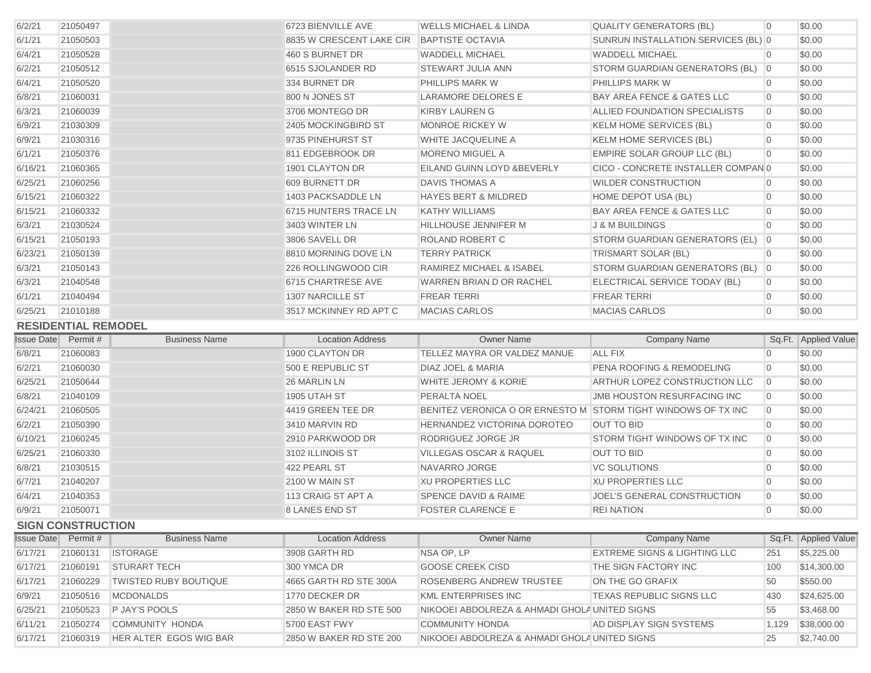| 6/2/21  | 21050497                   |                      | 6723 BIENVILLE AVE       | <b>WELLS MICHAEL &amp; LINDA</b> | <b>QUALITY GENERATORS (BL)</b>        | n.             | \$0.00               |
|---------|----------------------------|----------------------|--------------------------|----------------------------------|---------------------------------------|----------------|----------------------|
| 6/1/21  | 21050503                   |                      | 8835 W CRESCENT LAKE CIR | <b>BAPTISTE OCTAVIA</b>          | SUNRUN INSTALLATION SERVICES (BL) 0   |                | \$0.00               |
| 6/4/21  | 21050528                   |                      | 460 S BURNET DR          | <b>WADDELL MICHAEL</b>           | <b>WADDELL MICHAEL</b>                |                | \$0.00               |
| 6/2/21  | 21050512                   |                      | 6515 SJOLANDER RD        | <b>STEWART JULIA ANN</b>         | STORM GUARDIAN GENERATORS (BL) 0      |                | \$0.00               |
| 6/4/21  | 21050520                   |                      | 334 BURNET DR            | <b>PHILLIPS MARK W</b>           | <b>PHILLIPS MARK W</b>                |                | \$0.00               |
| 6/8/21  | 21060031                   |                      | 800 N JONES ST           | <b>LARAMORE DELORES E</b>        | <b>BAY AREA FENCE &amp; GATES LLC</b> | $\Omega$       | \$0.00               |
| 6/3/21  | 21060039                   |                      | 3706 MONTEGO DR          | <b>KIRBY LAUREN G</b>            | ALLIED FOUNDATION SPECIALISTS         | $\Omega$       | \$0.00               |
| 6/9/21  | 21030309                   |                      | 2405 MOCKINGBIRD ST      | <b>MONROE RICKEY W</b>           | <b>KELM HOME SERVICES (BL)</b>        |                | \$0.00               |
| 6/9/21  | 21030316                   |                      | 9735 PINEHURST ST        | <b>WHITE JACQUELINE A</b>        | <b>KELM HOME SERVICES (BL)</b>        |                | \$0.00               |
| 6/1/21  | 21050376                   |                      | 811 EDGEBROOK DR         | <b>MORENO MIGUEL A</b>           | <b>EMPIRE SOLAR GROUP LLC (BL)</b>    |                | \$0.00               |
| 6/16/21 | 21060365                   |                      | 1901 CLAYTON DR          | EILAND GUINN LOYD & BEVERLY      | CICO - CONCRETE INSTALLER COMPAN 0    |                | \$0.00               |
| 6/25/21 | 21060256                   |                      | 609 BURNETT DR           | <b>DAVIS THOMAS A</b>            | <b>WILDER CONSTRUCTION</b>            |                | \$0.00               |
| 6/15/21 | 21060322                   |                      | 1403 PACKSADDLE LN       | <b>HAYES BERT &amp; MILDRED</b>  | HOME DEPOT USA (BL)                   |                | \$0.00               |
| 6/15/21 | 21060332                   |                      | 6715 HUNTERS TRACE LN    | <b>KATHY WILLIAMS</b>            | <b>BAY AREA FENCE &amp; GATES LLC</b> | $\overline{0}$ | \$0.00               |
| 6/3/21  | 21030524                   |                      | 3403 WINTER LN           | <b>HILLHOUSE JENNIFER M</b>      | J & M BUILDINGS                       |                | \$0.00               |
| 6/15/21 | 21050193                   |                      | 3806 SAVELL DR           | ROLAND ROBERT C                  | STORM GUARDIAN GENERATORS (EL)        | $\overline{0}$ | \$0.00               |
| 6/23/21 | 21050139                   |                      | 8810 MORNING DOVE LN     | <b>TERRY PATRICK</b>             | <b>TRISMART SOLAR (BL)</b>            | $\Omega$       | \$0.00               |
| 6/3/21  | 21050143                   |                      | 226 ROLLINGWOOD CIR      | RAMIREZ MICHAEL & ISABEL         | STORM GUARDIAN GENERATORS (BL)        | $\overline{0}$ | \$0.00               |
| 6/3/21  | 21040548                   |                      | 6715 CHARTRESE AVE       | WARREN BRIAN D OR RACHEL         | ELECTRICAL SERVICE TODAY (BL)         | $\overline{0}$ | \$0.00               |
| 6/1/21  | 21040494                   |                      | 1307 NARCILLE ST         | <b>FREAR TERRI</b>               | <b>FREAR TERRI</b>                    | $\Omega$       | \$0.00               |
| 6/25/21 | 21010188                   |                      | 3517 MCKINNEY RD APT C   | <b>MACIAS CARLOS</b>             | <b>MACIAS CARLOS</b>                  | $\Omega$       | \$0.00               |
|         | <b>RESIDENTIAL REMODEL</b> |                      |                          |                                  |                                       |                |                      |
|         | <b>Issue Date</b> Permit # | <b>Business Name</b> | <b>Location Address</b>  | <b>Owner Name</b>                | <b>Company Name</b>                   |                | Sq.Ft. Applied Value |
| 6/8/21  | 21060083                   |                      | 1900 CLAYTON DR          | TELLEZ MAYRA OR VALDEZ MANUE     | <b>ALL FIX</b>                        | $\Omega$       | \$0.00               |
| 6/2/21  | 21060030                   |                      | 500 E REPUBLIC ST        | <b>DIAZ JOEL &amp; MARIA</b>     | <b>PENA ROOFING &amp; REMODELING</b>  | $\Omega$       | \$0.00               |

| 6/2/21            | 21060030                 |                              | 500 E REPUBLIC ST       | <b>DIAZ JOEL &amp; MARIA</b>    | <b>PENA ROOFING &amp; REMODELING</b>    |                | \$0.00               |
|-------------------|--------------------------|------------------------------|-------------------------|---------------------------------|-----------------------------------------|----------------|----------------------|
| 6/25/21           | 21050644                 |                              | <b>26 MARLIN LN</b>     | WHITE JEROMY & KORIE            | ARTHUR LOPEZ CONSTRUCTION LLC           |                | \$0.00               |
| 6/8/21            | 21040109                 |                              | <b>1905 UTAH ST</b>     | <b>PERALTA NOEL</b>             | <b>JMB HOUSTON RESURFACING INC</b>      |                | \$0.00               |
| 6/24/21           | 21060505                 |                              | 4419 GREEN TEE DR       | BENITEZ VERONICA O OR ERNESTO M | STORM TIGHT WINDOWS OF TX INC           |                | \$0.00               |
| 6/2/21            | 21050390                 |                              | 3410 MARVIN RD          | HERNANDEZ VICTORINA DOROTEO     | OUT TO BID                              |                | \$0.00               |
| 6/10/21           | 21060245                 |                              | 2910 PARKWOOD DR        | RODRIGUEZ JORGE JR              | STORM TIGHT WINDOWS OF TX INC           | $\overline{0}$ | \$0.00               |
| 6/25/21           | 21060330                 |                              | 3102 ILLINOIS ST        | VILLEGAS OSCAR & RAQUEL         | OUT TO BID                              |                | \$0.00               |
| 6/8/21            | 21030515                 |                              | 422 PEARL ST            | NAVARRO JORGE                   | <b>VC SOLUTIONS</b>                     |                | \$0.00               |
| 6/7/21            | 21040207                 |                              | 2100 W MAIN ST          | XU PROPERTIES LLC               | <b>XU PROPERTIES LLC</b>                |                | \$0.00               |
| 6/4/21            | 21040353                 |                              | 113 CRAIG ST APT A      | <b>SPENCE DAVID &amp; RAIME</b> | JOEL'S GENERAL CONSTRUCTION             |                | \$0.00               |
| 6/9/21            | 21050071                 |                              | 8 LANES END ST          | <b>FOSTER CLARENCE E</b>        | <b>REI NATION</b>                       | - O            | \$0.00               |
|                   | <b>SIGN CONSTRUCTION</b> |                              |                         |                                 |                                         |                |                      |
| <b>Issue Date</b> | Permit #                 | <b>Business Name</b>         | <b>Location Address</b> | <b>Owner Name</b>               | <b>Company Name</b>                     |                | Sq.Ft. Applied Value |
| 6/17/21           | 21060131                 | <b>ISTORAGE</b>              | 3908 GARTH RD           | NSA OP, LP                      | <b>EXTREME SIGNS &amp; LIGHTING LLC</b> | 251            | \$5,225.00           |
| 6/17/21           | 21060191                 | <b>STURART TECH</b>          | 300 YMCA DR             | <b>GOOSE CREEK CISD</b>         | THE SIGN FACTORY INC                    | 100            | \$14,300.00          |
| 6/17/21           | 21060229                 | <b>TWISTED RUBY BOUTIQUE</b> | 4665 GARTH RD STE 300A  | ROSENBERG ANDREW TRUSTEE        | ON THE GO GRAFIX                        | 50             | \$550.00             |
|                   |                          |                              |                         |                                 |                                         |                |                      |

6/9/21 21050516 MCDONALDS 1770 DECKER DR KML ENTERPRISES INC TEXAS REPUBLIC SIGNS LLC 430 \$24,625.00 6/25/21 21050523 P JAY'S POOLS 2850 W BAKER RD STE 500 NIKOOEI ABDOLREZA & AHMADI GHOLA UNITED SIGNS 55 \$3,468.00 6/11/21 21050274 COMMUNITY HONDA 5700 EAST FWY COMMUNITY HONDA AD DISPLAY SIGN SYSTEMS 1,129 \$38,000.00 6/17/21 21060319 HER ALTER EGOS WIG BAR 2850 W BAKER RD STE 200 NIKOOEI ABDOLREZA & AHMADI GHOLA UNITED SIGNS 25 \$2,740.00